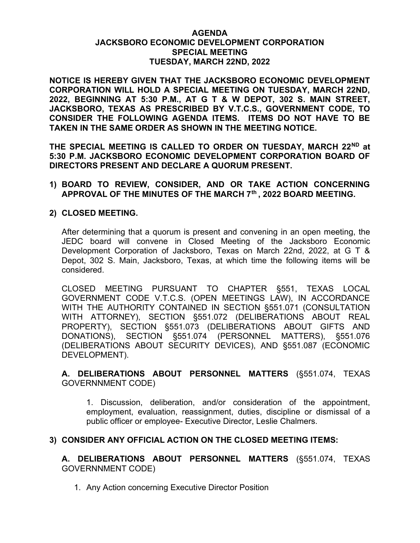#### AGENDA JACKSBORO ECONOMIC DEVELOPMENT CORPORATION SPECIAL MEETING TUESDAY, MARCH 22ND, 2022

NOTICE IS HEREBY GIVEN THAT THE JACKSBORO ECONOMIC DEVELOPMENT CORPORATION WILL HOLD A SPECIAL MEETING ON TUESDAY, MARCH 22ND, 2022, BEGINNING AT 5:30 P.M., AT G T & W DEPOT, 302 S. MAIN STREET, JACKSBORO, TEXAS AS PRESCRIBED BY V.T.C.S., GOVERNMENT CODE, TO CONSIDER THE FOLLOWING AGENDA ITEMS. ITEMS DO NOT HAVE TO BE TAKEN IN THE SAME ORDER AS SHOWN IN THE MEETING NOTICE.

THE SPECIAL MEETING IS CALLED TO ORDER ON TUESDAY, MARCH 22ND at 5:30 P.M. JACKSBORO ECONOMIC DEVELOPMENT CORPORATION BOARD OF DIRECTORS PRESENT AND DECLARE A QUORUM PRESENT.

1) BOARD TO REVIEW, CONSIDER, AND OR TAKE ACTION CONCERNING APPROVAL OF THE MINUTES OF THE MARCH 7th , 2022 BOARD MEETING.

## 2) CLOSED MEETING.

After determining that a quorum is present and convening in an open meeting, the JEDC board will convene in Closed Meeting of the Jacksboro Economic Development Corporation of Jacksboro, Texas on March 22nd, 2022, at G T & Depot, 302 S. Main, Jacksboro, Texas, at which time the following items will be considered.

CLOSED MEETING PURSUANT TO CHAPTER §551, TEXAS LOCAL GOVERNMENT CODE V.T.C.S. (OPEN MEETINGS LAW), IN ACCORDANCE WITH THE AUTHORITY CONTAINED IN SECTION §551.071 (CONSULTATION WITH ATTORNEY), SECTION §551.072 (DELIBERATIONS ABOUT REAL PROPERTY), SECTION §551.073 (DELIBERATIONS ABOUT GIFTS AND DONATIONS), SECTION §551.074 (PERSONNEL MATTERS), §551.076 (DELIBERATIONS ABOUT SECURITY DEVICES), AND §551.087 (ECONOMIC DEVELOPMENT).

A. DELIBERATIONS ABOUT PERSONNEL MATTERS (§551.074, TEXAS GOVERNNMENT CODE)

1. Discussion, deliberation, and/or consideration of the appointment, employment, evaluation, reassignment, duties, discipline or dismissal of a public officer or employee- Executive Director, Leslie Chalmers.

## 3) CONSIDER ANY OFFICIAL ACTION ON THE CLOSED MEETING ITEMS:

A. DELIBERATIONS ABOUT PERSONNEL MATTERS (§551.074, TEXAS GOVERNNMENT CODE)

1. Any Action concerning Executive Director Position